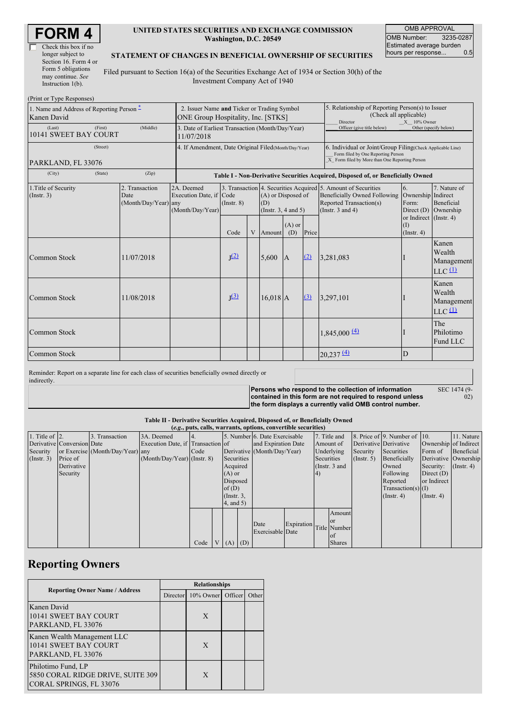| <b>FORM4</b> |
|--------------|
|--------------|

| Check this box if no  |  |  |  |  |  |
|-----------------------|--|--|--|--|--|
| longer subject to     |  |  |  |  |  |
| Section 16. Form 4 or |  |  |  |  |  |
| Form 5 obligations    |  |  |  |  |  |
| may continue. See     |  |  |  |  |  |
| Instruction $1(b)$ .  |  |  |  |  |  |

### **UNITED STATES SECURITIES AND EXCHANGE COMMISSION Washington, D.C. 20549**

OMB APPROVAL OMB Number: 3235-0287 Estimated average burden<br>hours per response... 0.5 hours per response...

#### **STATEMENT OF CHANGES IN BENEFICIAL OWNERSHIP OF SECURITIES**

Filed pursuant to Section 16(a) of the Securities Exchange Act of 1934 or Section 30(h) of the Investment Company Act of 1940

| (Print or Type Responses)                                |                                                                                   |                                                                                  |                  |                                                                                                                        |            |                                                                                                                                                    |                                                                                                       |                                                                                         |                                                                             |                                                                    |
|----------------------------------------------------------|-----------------------------------------------------------------------------------|----------------------------------------------------------------------------------|------------------|------------------------------------------------------------------------------------------------------------------------|------------|----------------------------------------------------------------------------------------------------------------------------------------------------|-------------------------------------------------------------------------------------------------------|-----------------------------------------------------------------------------------------|-----------------------------------------------------------------------------|--------------------------------------------------------------------|
| 1. Name and Address of Reporting Person –<br>Kanen David | 2. Issuer Name and Ticker or Trading Symbol<br>ONE Group Hospitality, Inc. [STKS] |                                                                                  |                  |                                                                                                                        |            |                                                                                                                                                    | 5. Relationship of Reporting Person(s) to Issuer<br>(Check all applicable)<br>Director<br>X 10% Owner |                                                                                         |                                                                             |                                                                    |
| (First)<br>(Last)<br>10141 SWEET BAY COURT               | 3. Date of Earliest Transaction (Month/Day/Year)<br>11/07/2018                    |                                                                                  |                  |                                                                                                                        |            | Officer (give title below)                                                                                                                         |                                                                                                       | Other (specify below)                                                                   |                                                                             |                                                                    |
| (Street)<br>PARKLAND, FL 33076                           | 4. If Amendment, Date Original Filed (Month/Day/Year)                             |                                                                                  |                  |                                                                                                                        |            | 6. Individual or Joint/Group Filing(Check Applicable Line)<br>Form filed by One Reporting Person<br>X Form filed by More than One Reporting Person |                                                                                                       |                                                                                         |                                                                             |                                                                    |
| (City)<br>(State)                                        |                                                                                   | Table I - Non-Derivative Securities Acquired, Disposed of, or Beneficially Owned |                  |                                                                                                                        |            |                                                                                                                                                    |                                                                                                       |                                                                                         |                                                                             |                                                                    |
| 1. Title of Security<br>(Insert. 3)                      | 2. Transaction<br>Date<br>(Month/Day/Year) any                                    | 2A. Deemed<br>Execution Date, if Code<br>(Month/Day/Year)                        | $($ Instr. $8)$  | 3. Transaction 4. Securities Acquired 5. Amount of Securities<br>(A) or Disposed of<br>(D)<br>(Instr. $3, 4$ and $5$ ) |            |                                                                                                                                                    |                                                                                                       | <b>Beneficially Owned Following</b><br>Reported Transaction(s)<br>(Instr. $3$ and $4$ ) | 6.<br>Ownership Indirect<br>Form:<br>Direct $(D)$<br>or Indirect (Instr. 4) | 7. Nature of<br>Beneficial<br>Ownership                            |
|                                                          |                                                                                   |                                                                                  | Code             | V                                                                                                                      | Amount     | $(A)$ or<br>(D)                                                                                                                                    | Price                                                                                                 |                                                                                         | <b>(I)</b><br>(Insert. 4)                                                   |                                                                    |
| Common Stock                                             | 11/07/2018                                                                        |                                                                                  | J <sup>(2)</sup> |                                                                                                                        | 5,600      | A                                                                                                                                                  | (2)                                                                                                   | 3,281,083                                                                               |                                                                             | Kanen<br>Wealth<br>Management<br>$LLC$ <sup><math>(1)</math></sup> |
| Common Stock                                             | 11/08/2018                                                                        |                                                                                  | J <sup>(3)</sup> |                                                                                                                        | $16,018$ A |                                                                                                                                                    | (3)                                                                                                   | 3,297,101                                                                               |                                                                             | Kanen<br>Wealth<br>Management<br>$LLC$ <sup><math>(1)</math></sup> |
| Common Stock                                             |                                                                                   |                                                                                  |                  |                                                                                                                        |            |                                                                                                                                                    |                                                                                                       | $1,845,000 \frac{(4)}{2}$                                                               |                                                                             | The<br>Philotimo<br>Fund LLC                                       |
| Common Stock                                             |                                                                                   |                                                                                  |                  |                                                                                                                        |            |                                                                                                                                                    |                                                                                                       | 20,237(4)                                                                               | D                                                                           |                                                                    |

Reminder: Report on a separate line for each class of securities beneficially owned directly or indirectly.

SEC 1474 (9-

**Persons who respond to the collection of information contained in this form are not required to respond unless the form displays a currently valid OMB control number.**

 $\ddot{02}$ 

### **Table II - Derivative Securities Acquired, Disposed of, or Beneficially Owned**

| (e.g., puts, calls, warrants, options, convertible securities) |                            |                                  |                                   |      |                 |                 |  |                               |                         |            |                 |                  |                              |                               |                      |                       |  |                       |  |
|----------------------------------------------------------------|----------------------------|----------------------------------|-----------------------------------|------|-----------------|-----------------|--|-------------------------------|-------------------------|------------|-----------------|------------------|------------------------------|-------------------------------|----------------------|-----------------------|--|-----------------------|--|
| 1. Title of $ 2$ .                                             |                            | 3. Transaction                   | 3A. Deemed                        | 14.  |                 |                 |  | 5. Number 6. Date Exercisable |                         |            | 7. Title and    |                  | 8. Price of 9. Number of 10. |                               | 11. Nature           |                       |  |                       |  |
|                                                                | Derivative Conversion Date |                                  | Execution Date, if Transaction of |      |                 |                 |  | and Expiration Date           |                         |            |                 |                  |                              |                               | Amount of            | Derivative Derivative |  | Ownership of Indirect |  |
| Security                                                       |                            | or Exercise (Month/Day/Year) any |                                   | Code |                 |                 |  | Derivative (Month/Day/Year)   |                         |            | Underlying      | Security         | Securities                   | Form of                       | Beneficial           |                       |  |                       |  |
| (Insert. 3)                                                    | Price of                   |                                  | $(Month/Day/Year)$ (Instr. 8)     |      |                 | Securities      |  |                               |                         | Securities |                 | $($ Instr. 5 $)$ | Beneficially                 |                               | Derivative Ownership |                       |  |                       |  |
|                                                                | Derivative                 |                                  |                                   |      |                 | Acquired        |  |                               |                         |            | (Instr. $3$ and |                  | Owned                        | Security: $(\text{Instr. 4})$ |                      |                       |  |                       |  |
|                                                                | Security                   |                                  |                                   |      |                 | $(A)$ or        |  |                               |                         | (4)        |                 |                  | Following                    | Direct $(D)$                  |                      |                       |  |                       |  |
|                                                                |                            |                                  |                                   |      |                 | Disposed        |  |                               |                         |            |                 |                  | Reported                     | or Indirect                   |                      |                       |  |                       |  |
|                                                                |                            |                                  |                                   |      |                 | of $(D)$        |  |                               |                         |            |                 |                  | $Transaction(s)$ (I)         |                               |                      |                       |  |                       |  |
|                                                                |                            |                                  |                                   |      |                 | $($ Instr. $3,$ |  |                               |                         |            |                 |                  | (Insert 4)                   | $($ Instr. 4 $)$              |                      |                       |  |                       |  |
|                                                                |                            |                                  |                                   |      |                 | 4, and 5)       |  |                               |                         |            |                 |                  |                              |                               |                      |                       |  |                       |  |
|                                                                |                            |                                  |                                   |      |                 |                 |  |                               |                         |            | Amount          |                  |                              |                               |                      |                       |  |                       |  |
|                                                                |                            |                                  |                                   |      |                 |                 |  | Date                          |                         |            | <b>or</b>       |                  |                              |                               |                      |                       |  |                       |  |
|                                                                |                            |                                  |                                   |      |                 |                 |  | Exercisable Date              | Expiration Title Number |            |                 |                  |                              |                               |                      |                       |  |                       |  |
|                                                                |                            |                                  |                                   |      |                 |                 |  |                               |                         |            | <b>of</b>       |                  |                              |                               |                      |                       |  |                       |  |
|                                                                |                            |                                  |                                   | Code | $V_{\parallel}$ | $(A)$ $(D)$     |  |                               |                         |            | <b>Shares</b>   |                  |                              |                               |                      |                       |  |                       |  |

## **Reporting Owners**

|                                                                                    | <b>Relationships</b> |                   |  |       |  |  |  |  |
|------------------------------------------------------------------------------------|----------------------|-------------------|--|-------|--|--|--|--|
| <b>Reporting Owner Name / Address</b>                                              | Director             | 10% Owner Officer |  | Other |  |  |  |  |
| Kanen David<br>10141 SWEET BAY COURT<br>PARKLAND, FL 33076                         |                      | X                 |  |       |  |  |  |  |
| Kanen Wealth Management LLC<br>10141 SWEET BAY COURT<br>PARKLAND, FL 33076         |                      | X                 |  |       |  |  |  |  |
| Philotimo Fund, LP<br>5850 CORAL RIDGE DRIVE, SUITE 309<br>CORAL SPRINGS, FL 33076 |                      | X                 |  |       |  |  |  |  |